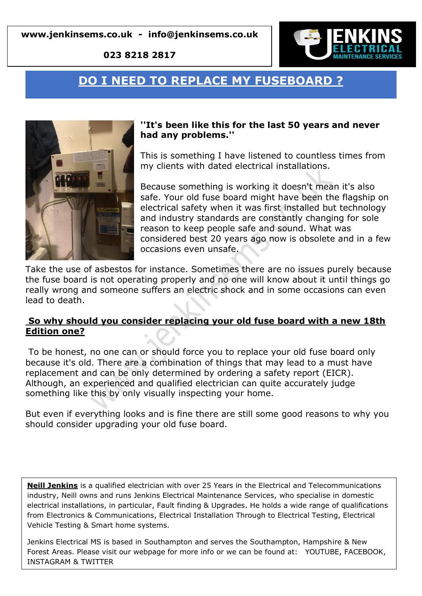**023 8218 2817**



# **DO I NEED TO REPLACE MY FUSEBOARD ?**



#### **''It's been like this for the last 50 years and never had any problems.''**

This is something I have listened to countless times from my clients with dated electrical installations.

Because something is working it doesn't mean it's also safe. Your old fuse board might have been the flagship on electrical safety when it was first installed but technology and industry standards are constantly changing for sole reason to keep people safe and sound. What was considered best 20 years ago now is obsolete and in a few occasions even unsafe.

Take the use of asbestos for instance. Sometimes there are no issues purely because the fuse board is not operating properly and no one will know about it until things go really wrong and someone suffers an electric shock and in some occasions can even lead to death.

#### **So why should you consider replacing your old fuse board with a new 18th Edition one?**

To be honest, no one can or should force you to replace your old fuse board only because it's old. There are a combination of things that may lead to a must have replacement and can be only determined by ordering a safety report (EICR). Although, an experienced and qualified electrician can quite accurately judge something like this by only visually inspecting your home.

But even if everything looks and is fine there are still some good reasons to why you should consider upgrading your old fuse board.

**Neill Jenkins** is a qualified electrician with over 25 Years in the Electrical and Telecommunications industry, Neill owns and runs Jenkins Electrical Maintenance Services, who specialise in domestic electrical installations, in particular, Fault finding & Upgrades. He holds a wide range of qualifications from Electronics & Communications, Electrical Installation Through to Electrical Testing, Electrical Vehicle Testing & Smart home systems.

Jenkins Electrical MS is based in Southampton and serves the Southampton, Hampshire & New Forest Areas. Please visit our webpage for more info or we can be found at: YOUTUBE, FACEBOOK, INSTAGRAM & TWITTER